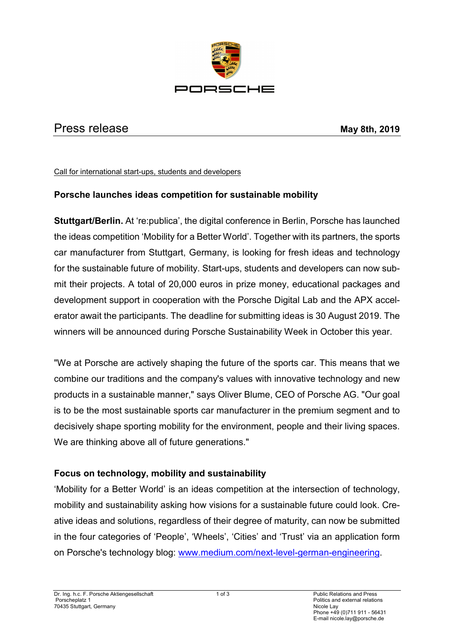

# **Press release** May 8th, 2019

Call for international start-ups, students and developers

### **Porsche launches ideas competition for sustainable mobility**

**Stuttgart/Berlin.** At 're:publica', the digital conference in Berlin, Porsche has launched the ideas competition 'Mobility for a Better World'. Together with its partners, the sports car manufacturer from Stuttgart, Germany, is looking for fresh ideas and technology for the sustainable future of mobility. Start-ups, students and developers can now submit their projects. A total of 20,000 euros in prize money, educational packages and development support in cooperation with the Porsche Digital Lab and the APX accelerator await the participants. The deadline for submitting ideas is 30 August 2019. The winners will be announced during Porsche Sustainability Week in October this year.

"We at Porsche are actively shaping the future of the sports car. This means that we combine our traditions and the company's values with innovative technology and new products in a sustainable manner," says Oliver Blume, CEO of Porsche AG. "Our goal is to be the most sustainable sports car manufacturer in the premium segment and to decisively shape sporting mobility for the environment, people and their living spaces. We are thinking above all of future generations."

### **Focus on technology, mobility and sustainability**

'Mobility for a Better World' is an ideas competition at the intersection of technology, mobility and sustainability asking how visions for a sustainable future could look. Creative ideas and solutions, regardless of their degree of maturity, can now be submitted in the four categories of 'People', 'Wheels', 'Cities' and 'Trust' via an application form on Porsche's technology blog: [www.medium.com/next-level-german-engineering.](http://www.medium.com/next-level-german-engineering)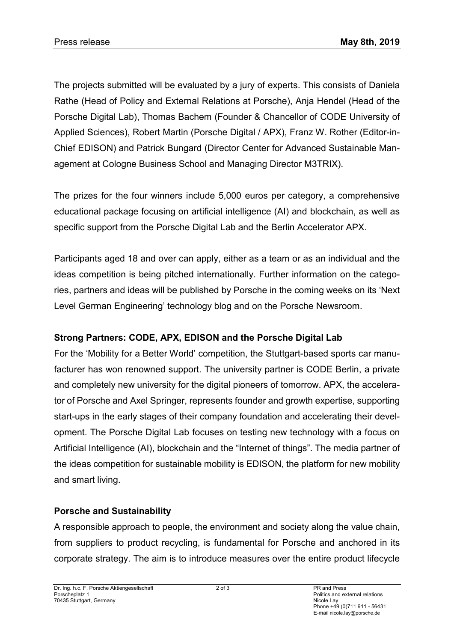The projects submitted will be evaluated by a jury of experts. This consists of Daniela Rathe (Head of Policy and External Relations at Porsche), Anja Hendel (Head of the Porsche Digital Lab), Thomas Bachem (Founder & Chancellor of CODE University of Applied Sciences), Robert Martin (Porsche Digital / APX), Franz W. Rother (Editor-in-Chief EDISON) and Patrick Bungard (Director Center for Advanced Sustainable Management at Cologne Business School and Managing Director M3TRIX).

The prizes for the four winners include 5,000 euros per category, a comprehensive educational package focusing on artificial intelligence (AI) and blockchain, as well as specific support from the Porsche Digital Lab and the Berlin Accelerator APX.

Participants aged 18 and over can apply, either as a team or as an individual and the ideas competition is being pitched internationally. Further information on the categories, partners and ideas will be published by Porsche in the coming weeks on its 'Next Level German Engineering' technology blog and on the Porsche Newsroom.

# **Strong Partners: CODE, APX, EDISON and the Porsche Digital Lab**

For the 'Mobility for a Better World' competition, the Stuttgart-based sports car manufacturer has won renowned support. The university partner is CODE Berlin, a private and completely new university for the digital pioneers of tomorrow. APX, the accelerator of Porsche and Axel Springer, represents founder and growth expertise, supporting start-ups in the early stages of their company foundation and accelerating their development. The Porsche Digital Lab focuses on testing new technology with a focus on Artificial Intelligence (AI), blockchain and the "Internet of things". The media partner of the ideas competition for sustainable mobility is EDISON, the platform for new mobility and smart living.

# **Porsche and Sustainability**

A responsible approach to people, the environment and society along the value chain, from suppliers to product recycling, is fundamental for Porsche and anchored in its corporate strategy. The aim is to introduce measures over the entire product lifecycle